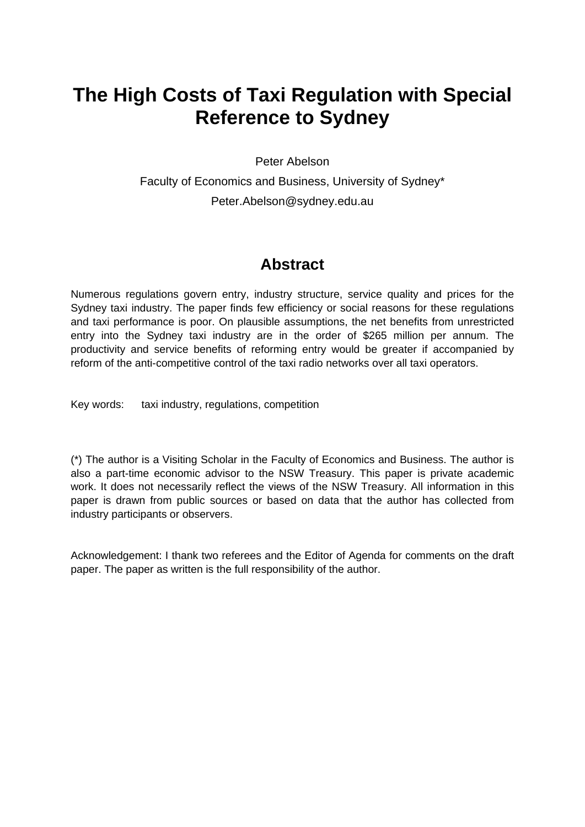# **The High Costs of Taxi Regulation with Special Reference to Sydney**

Peter Abelson

Faculty of Economics and Business, University of Sydney\* Peter.Abelson@sydney.edu.au

### **Abstract**

Numerous regulations govern entry, industry structure, service quality and prices for the Sydney taxi industry. The paper finds few efficiency or social reasons for these regulations and taxi performance is poor. On plausible assumptions, the net benefits from unrestricted entry into the Sydney taxi industry are in the order of \$265 million per annum. The productivity and service benefits of reforming entry would be greater if accompanied by reform of the anti-competitive control of the taxi radio networks over all taxi operators.

Key words: taxi industry, regulations, competition

(\*) The author is a Visiting Scholar in the Faculty of Economics and Business. The author is also a part-time economic advisor to the NSW Treasury. This paper is private academic work. It does not necessarily reflect the views of the NSW Treasury. All information in this paper is drawn from public sources or based on data that the author has collected from industry participants or observers.

Acknowledgement: I thank two referees and the Editor of Agenda for comments on the draft paper. The paper as written is the full responsibility of the author.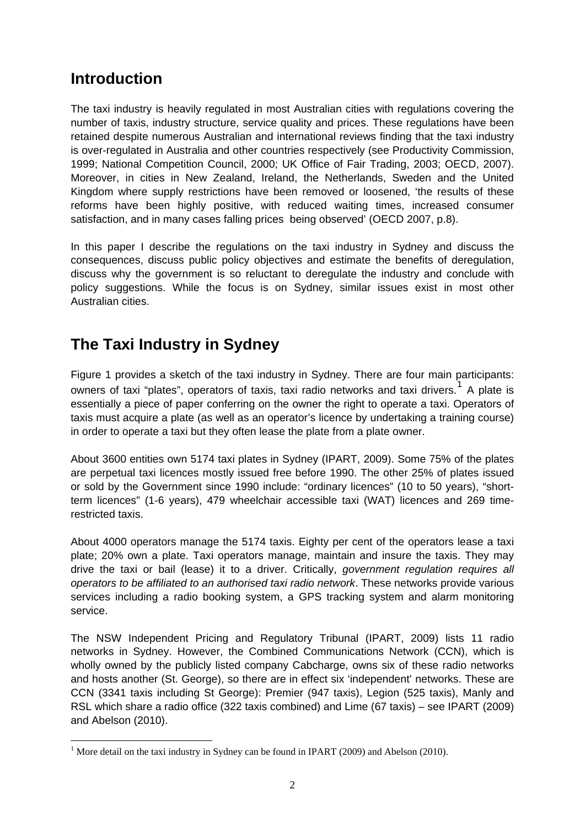### **Introduction**

The taxi industry is heavily regulated in most Australian cities with regulations covering the number of taxis, industry structure, service quality and prices. These regulations have been retained despite numerous Australian and international reviews finding that the taxi industry is over-regulated in Australia and other countries respectively (see Productivity Commission, 1999; National Competition Council, 2000; UK Office of Fair Trading, 2003; OECD, 2007). Moreover, in cities in New Zealand, Ireland, the Netherlands, Sweden and the United Kingdom where supply restrictions have been removed or loosened, 'the results of these reforms have been highly positive, with reduced waiting times, increased consumer satisfaction, and in many cases falling prices being observed' (OECD 2007, p.8).

In this paper I describe the regulations on the taxi industry in Sydney and discuss the consequences, discuss public policy objectives and estimate the benefits of deregulation, discuss why the government is so reluctant to deregulate the industry and conclude with policy suggestions. While the focus is on Sydney, similar issues exist in most other Australian cities.

# **The Taxi Industry in Sydney**

Figure 1 provides a sketch of the taxi industry in Sydney. There are four main participants: owners of taxi "plates", operators of taxis, taxi radio networks and taxi drivers.<sup>[1](#page-1-0)</sup> A plate is essentially a piece of paper conferring on the owner the right to operate a taxi. Operators of taxis must acquire a plate (as well as an operator's licence by undertaking a training course) in order to operate a taxi but they often lease the plate from a plate owner.

About 3600 entities own 5174 taxi plates in Sydney (IPART, 2009). Some 75% of the plates are perpetual taxi licences mostly issued free before 1990. The other 25% of plates issued or sold by the Government since 1990 include: "ordinary licences" (10 to 50 years), "shortterm licences" (1-6 years), 479 wheelchair accessible taxi (WAT) licences and 269 timerestricted taxis.

About 4000 operators manage the 5174 taxis. Eighty per cent of the operators lease a taxi plate; 20% own a plate. Taxi operators manage, maintain and insure the taxis. They may drive the taxi or bail (lease) it to a driver. Critically, *government regulation requires all operators to be affiliated to an authorised taxi radio network*. These networks provide various services including a radio booking system, a GPS tracking system and alarm monitoring service.

The NSW Independent Pricing and Regulatory Tribunal (IPART, 2009) lists 11 radio networks in Sydney. However, the Combined Communications Network (CCN), which is wholly owned by the publicly listed company Cabcharge, owns six of these radio networks and hosts another (St. George), so there are in effect six 'independent' networks. These are CCN (3341 taxis including St George): Premier (947 taxis), Legion (525 taxis), Manly and RSL which share a radio office (322 taxis combined) and Lime (67 taxis) – see IPART (2009) and Abelson (2010).

<span id="page-1-0"></span><sup>1</sup> <sup>1</sup> More detail on the taxi industry in Sydney can be found in IPART (2009) and Abelson (2010).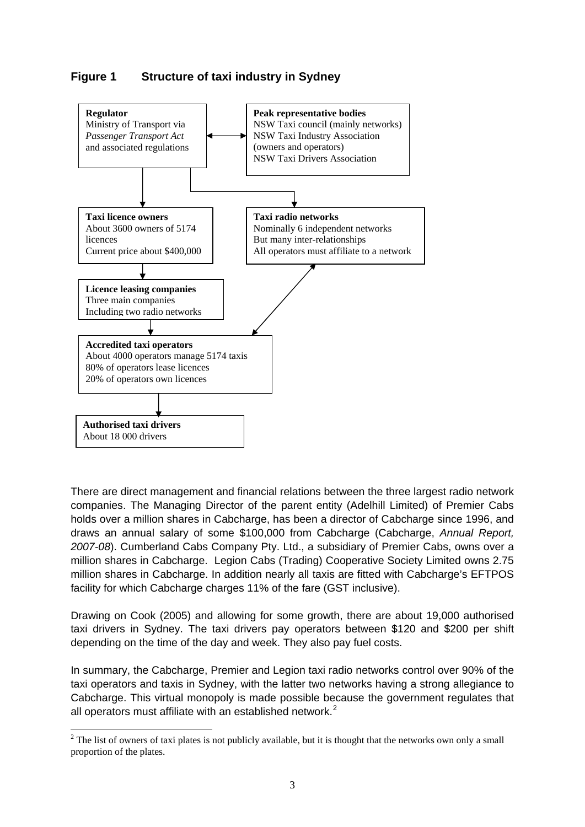### **Figure 1 Structure of taxi industry in Sydney**



There are direct management and financial relations between the three largest radio network companies. The Managing Director of the parent entity (Adelhill Limited) of Premier Cabs holds over a million shares in Cabcharge, has been a director of Cabcharge since 1996, and draws an annual salary of some \$100,000 from Cabcharge (Cabcharge, *Annual Report, 2007-08*). Cumberland Cabs Company Pty. Ltd., a subsidiary of Premier Cabs, owns over a million shares in Cabcharge. Legion Cabs (Trading) Cooperative Society Limited owns 2.75 million shares in Cabcharge. In addition nearly all taxis are fitted with Cabcharge's EFTPOS facility for which Cabcharge charges 11% of the fare (GST inclusive).

Drawing on Cook (2005) and allowing for some growth, there are about 19,000 authorised taxi drivers in Sydney. The taxi drivers pay operators between \$120 and \$200 per shift depending on the time of the day and week. They also pay fuel costs.

In summary, the Cabcharge, Premier and Legion taxi radio networks control over 90% of the taxi operators and taxis in Sydney, with the latter two networks having a strong allegiance to Cabcharge. This virtual monopoly is made possible because the government regulates that all operators must affiliate with an established network. $2$ 

<u>.</u>

<span id="page-2-0"></span> $2^2$  The list of owners of taxi plates is not publicly available, but it is thought that the networks own only a small proportion of the plates.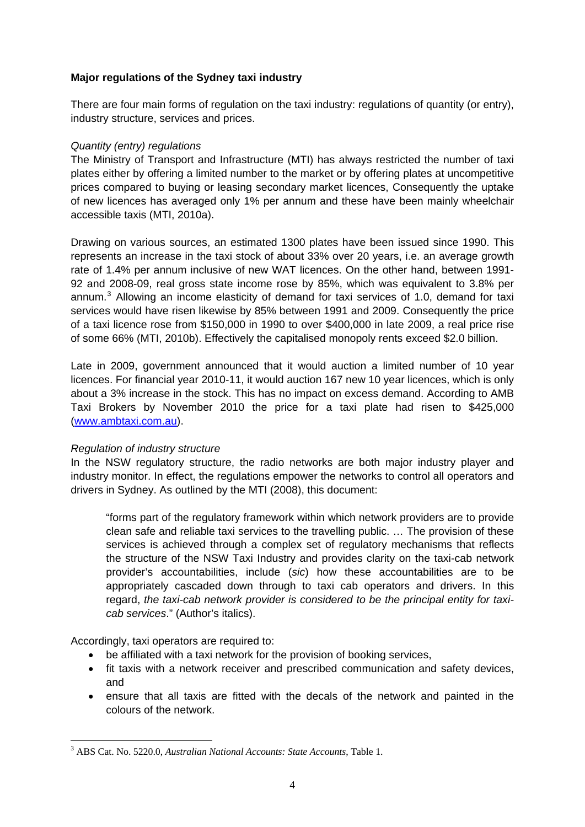#### **Major regulations of the Sydney taxi industry**

There are four main forms of regulation on the taxi industry: regulations of quantity (or entry), industry structure, services and prices.

#### *Quantity (entry) regulations*

The Ministry of Transport and Infrastructure (MTI) has always restricted the number of taxi plates either by offering a limited number to the market or by offering plates at uncompetitive prices compared to buying or leasing secondary market licences, Consequently the uptake of new licences has averaged only 1% per annum and these have been mainly wheelchair accessible taxis (MTI, 2010a).

Drawing on various sources, an estimated 1300 plates have been issued since 1990. This represents an increase in the taxi stock of about 33% over 20 years, i.e. an average growth rate of 1.4% per annum inclusive of new WAT licences. On the other hand, between 1991- 92 and 2008-09, real gross state income rose by 85%, which was equivalent to 3.8% per annum.<sup>[3](#page-3-0)</sup> Allowing an income elasticity of demand for taxi services of 1.0, demand for taxi services would have risen likewise by 85% between 1991 and 2009. Consequently the price of a taxi licence rose from \$150,000 in 1990 to over \$400,000 in late 2009, a real price rise of some 66% (MTI, 2010b). Effectively the capitalised monopoly rents exceed \$2.0 billion.

Late in 2009, government announced that it would auction a limited number of 10 year licences. For financial year 2010-11, it would auction 167 new 10 year licences, which is only about a 3% increase in the stock. This has no impact on excess demand. According to AMB Taxi Brokers by November 2010 the price for a taxi plate had risen to \$425,000 ([www.ambtaxi.com.au](http://www.ambtaxi.com.au/)).

#### *Regulation of industry structure*

In the NSW regulatory structure, the radio networks are both major industry player and industry monitor. In effect, the regulations empower the networks to control all operators and drivers in Sydney. As outlined by the MTI (2008), this document:

"forms part of the regulatory framework within which network providers are to provide clean safe and reliable taxi services to the travelling public. … The provision of these services is achieved through a complex set of regulatory mechanisms that reflects the structure of the NSW Taxi Industry and provides clarity on the taxi-cab network provider's accountabilities, include (*sic*) how these accountabilities are to be appropriately cascaded down through to taxi cab operators and drivers. In this regard, *the taxi-cab network provider is considered to be the principal entity for taxicab services*." (Author's italics).

Accordingly, taxi operators are required to:

- be affiliated with a taxi network for the provision of booking services,
- fit taxis with a network receiver and prescribed communication and safety devices, and
- ensure that all taxis are fitted with the decals of the network and painted in the colours of the network.

<span id="page-3-0"></span><sup>1</sup> 3 ABS Cat. No. 5220.0, *Australian National Accounts: State Accounts*, Table 1.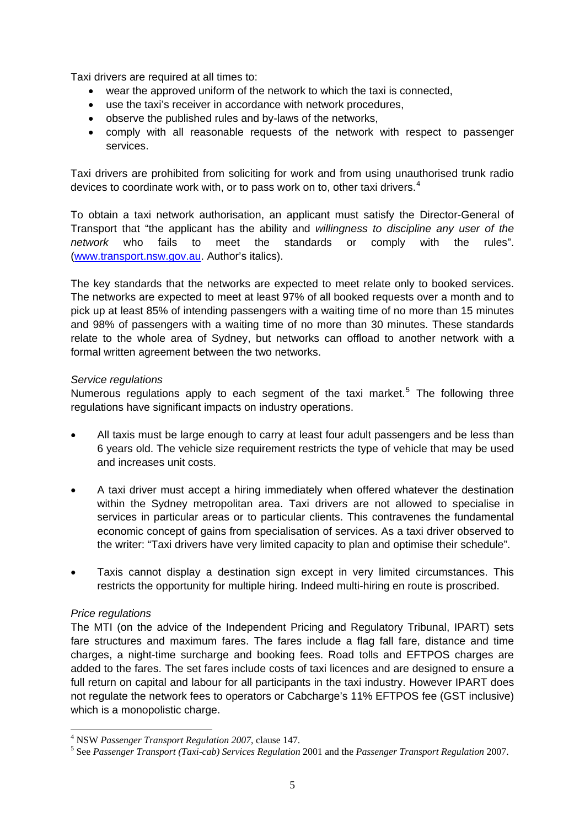Taxi drivers are required at all times to:

- wear the approved uniform of the network to which the taxi is connected,
- use the taxi's receiver in accordance with network procedures,
- observe the published rules and by-laws of the networks,
- comply with all reasonable requests of the network with respect to passenger services.

Taxi drivers are prohibited from soliciting for work and from using unauthorised trunk radio devices to coordinate work with, or to pass work on to, other taxi drivers. $4$ 

To obtain a taxi network authorisation, an applicant must satisfy the Director-General of Transport that "the applicant has the ability and *willingness to discipline any user of the network* who fails to meet the standards or comply with the rules". ([www.transport.nsw.gov.au.](http://www.transport.nsw.gov.au/) Author's italics).

The key standards that the networks are expected to meet relate only to booked services. The networks are expected to meet at least 97% of all booked requests over a month and to pick up at least 85% of intending passengers with a waiting time of no more than 15 minutes and 98% of passengers with a waiting time of no more than 30 minutes. These standards relate to the whole area of Sydney, but networks can offload to another network with a formal written agreement between the two networks.

#### *Service regulations*

Numerous regulations apply to each segment of the taxi market.<sup>[5](#page-4-1)</sup> The following three regulations have significant impacts on industry operations.

- All taxis must be large enough to carry at least four adult passengers and be less than 6 years old. The vehicle size requirement restricts the type of vehicle that may be used and increases unit costs.
- A taxi driver must accept a hiring immediately when offered whatever the destination within the Sydney metropolitan area. Taxi drivers are not allowed to specialise in services in particular areas or to particular clients. This contravenes the fundamental economic concept of gains from specialisation of services. As a taxi driver observed to the writer: "Taxi drivers have very limited capacity to plan and optimise their schedule".
- Taxis cannot display a destination sign except in very limited circumstances. This restricts the opportunity for multiple hiring. Indeed multi-hiring en route is proscribed.

#### *Price regulations*

<u>.</u>

The MTI (on the advice of the Independent Pricing and Regulatory Tribunal, IPART) sets fare structures and maximum fares. The fares include a flag fall fare, distance and time charges, a night-time surcharge and booking fees. Road tolls and EFTPOS charges are added to the fares. The set fares include costs of taxi licences and are designed to ensure a full return on capital and labour for all participants in the taxi industry. However IPART does not regulate the network fees to operators or Cabcharge's 11% EFTPOS fee (GST inclusive) which is a monopolistic charge.

<span id="page-4-0"></span><sup>&</sup>lt;sup>4</sup> NSW *Passenger Transport Regulation 2007*, clause 147.

<span id="page-4-1"></span>See *Passenger Transport (Taxi-cab) Services Regulation* 2001 and the *Passenger Transport Regulation* 2007.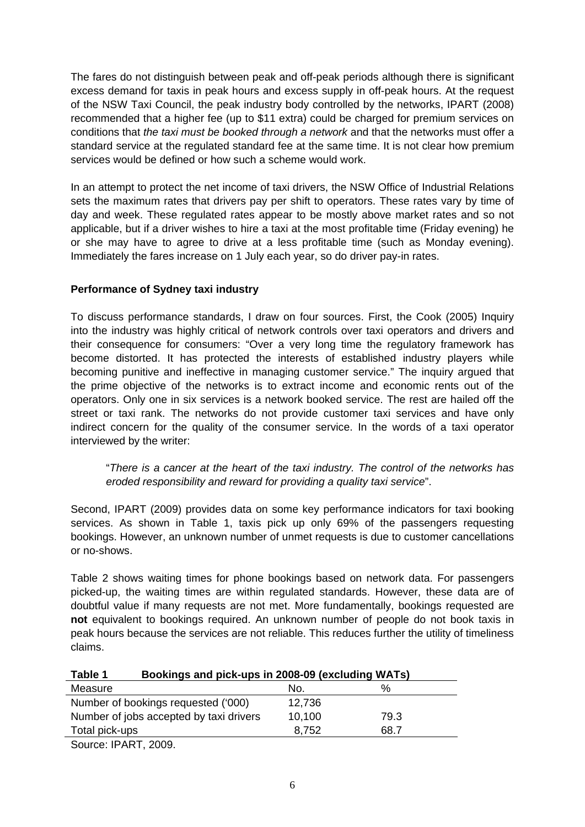The fares do not distinguish between peak and off-peak periods although there is significant excess demand for taxis in peak hours and excess supply in off-peak hours. At the request of the NSW Taxi Council, the peak industry body controlled by the networks, IPART (2008) recommended that a higher fee (up to \$11 extra) could be charged for premium services on conditions that *the taxi must be booked through a network* and that the networks must offer a standard service at the regulated standard fee at the same time. It is not clear how premium services would be defined or how such a scheme would work.

In an attempt to protect the net income of taxi drivers, the NSW Office of Industrial Relations sets the maximum rates that drivers pay per shift to operators. These rates vary by time of day and week. These regulated rates appear to be mostly above market rates and so not applicable, but if a driver wishes to hire a taxi at the most profitable time (Friday evening) he or she may have to agree to drive at a less profitable time (such as Monday evening). Immediately the fares increase on 1 July each year, so do driver pay-in rates.

#### **Performance of Sydney taxi industry**

To discuss performance standards, I draw on four sources. First, the Cook (2005) Inquiry into the industry was highly critical of network controls over taxi operators and drivers and their consequence for consumers: "Over a very long time the regulatory framework has become distorted. It has protected the interests of established industry players while becoming punitive and ineffective in managing customer service." The inquiry argued that the prime objective of the networks is to extract income and economic rents out of the operators. Only one in six services is a network booked service. The rest are hailed off the street or taxi rank. The networks do not provide customer taxi services and have only indirect concern for the quality of the consumer service. In the words of a taxi operator interviewed by the writer:

"*There is a cancer at the heart of the taxi industry. The control of the networks has eroded responsibility and reward for providing a quality taxi service*".

Second, IPART (2009) provides data on some key performance indicators for taxi booking services. As shown in Table 1, taxis pick up only 69% of the passengers requesting bookings. However, an unknown number of unmet requests is due to customer cancellations or no-shows.

Table 2 shows waiting times for phone bookings based on network data. For passengers picked-up, the waiting times are within regulated standards. However, these data are of doubtful value if many requests are not met. More fundamentally, bookings requested are **not** equivalent to bookings required. An unknown number of people do not book taxis in peak hours because the services are not reliable. This reduces further the utility of timeliness claims.

| Table 1                                 | Bookings and pick-ups in 2008-09 (excluding WATs) |      |  |  |  |
|-----------------------------------------|---------------------------------------------------|------|--|--|--|
| Measure                                 | No.                                               | ℅    |  |  |  |
| Number of bookings requested ('000)     | 12,736                                            |      |  |  |  |
| Number of jobs accepted by taxi drivers | 10,100                                            | 79.3 |  |  |  |
| Total pick-ups                          | 8,752                                             | 68.7 |  |  |  |
| Source: IPART, 2009.                    |                                                   |      |  |  |  |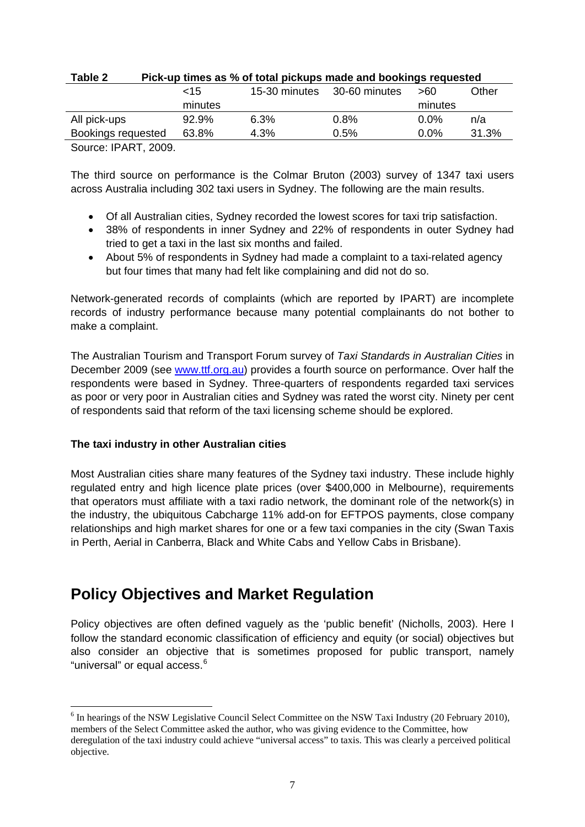| rapie z            | PICK-up times as % of total pickups made and bookings requested |               |               |         |       |
|--------------------|-----------------------------------------------------------------|---------------|---------------|---------|-------|
|                    | $<$ 15                                                          | 15-30 minutes | 30-60 minutes | >60     | Other |
|                    | minutes                                                         |               |               | minutes |       |
| All pick-ups       | 92.9%                                                           | 6.3%          | 0.8%          | $0.0\%$ | n/a   |
| Bookings requested | 63.8%                                                           | 4.3%          | 0.5%          | $0.0\%$ | 31.3% |
|                    |                                                                 |               |               |         |       |

#### **Table 2 Pick-up times as % of total pickups made and bookings requested**

Source: IPART, 2009.

The third source on performance is the Colmar Bruton (2003) survey of 1347 taxi users across Australia including 302 taxi users in Sydney. The following are the main results.

- Of all Australian cities, Sydney recorded the lowest scores for taxi trip satisfaction.
- 38% of respondents in inner Sydney and 22% of respondents in outer Sydney had tried to get a taxi in the last six months and failed.
- About 5% of respondents in Sydney had made a complaint to a taxi-related agency but four times that many had felt like complaining and did not do so.

Network-generated records of complaints (which are reported by IPART) are incomplete records of industry performance because many potential complainants do not bother to make a complaint.

The Australian Tourism and Transport Forum survey of *Taxi Standards in Australian Cities* in December 2009 (see [www.ttf.org.au](http://www.ttf.org.au/)) provides a fourth source on performance. Over half the respondents were based in Sydney. Three-quarters of respondents regarded taxi services as poor or very poor in Australian cities and Sydney was rated the worst city. Ninety per cent of respondents said that reform of the taxi licensing scheme should be explored.

#### **The taxi industry in other Australian cities**

1

Most Australian cities share many features of the Sydney taxi industry. These include highly regulated entry and high licence plate prices (over \$400,000 in Melbourne), requirements that operators must affiliate with a taxi radio network, the dominant role of the network(s) in the industry, the ubiquitous Cabcharge 11% add-on for EFTPOS payments, close company relationships and high market shares for one or a few taxi companies in the city (Swan Taxis in Perth, Aerial in Canberra, Black and White Cabs and Yellow Cabs in Brisbane).

### **Policy Objectives and Market Regulation**

Policy objectives are often defined vaguely as the 'public benefit' (Nicholls, 2003). Here I follow the standard economic classification of efficiency and equity (or social) objectives but also consider an objective that is sometimes proposed for public transport, namely "universal" or equal access.<sup>[6](#page-6-0)</sup>

<span id="page-6-0"></span><sup>&</sup>lt;sup>6</sup> In hearings of the NSW Legislative Council Select Committee on the NSW Taxi Industry (20 February 2010), members of the Select Committee asked the author, who was giving evidence to the Committee, how deregulation of the taxi industry could achieve "universal access" to taxis. This was clearly a perceived political objective.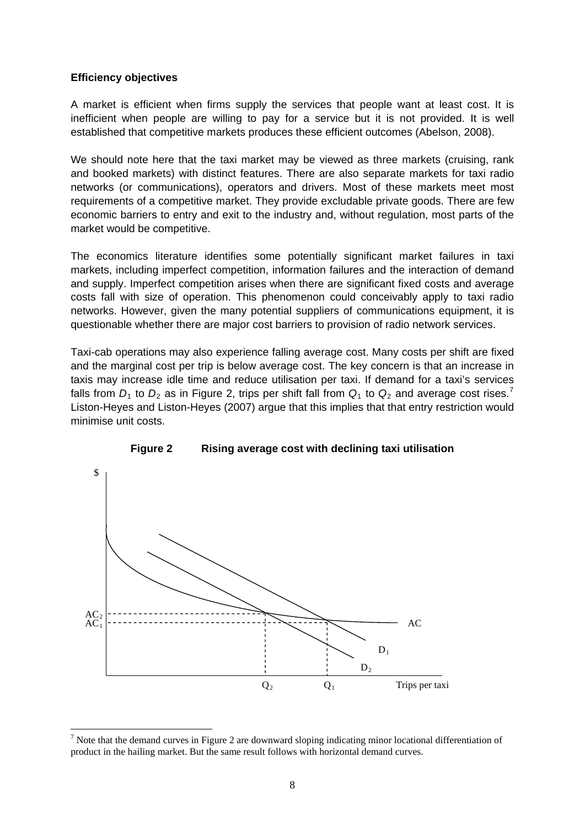#### **Efficiency objectives**

<u>.</u>

A market is efficient when firms supply the services that people want at least cost. It is inefficient when people are willing to pay for a service but it is not provided. It is well established that competitive markets produces these efficient outcomes (Abelson, 2008).

We should note here that the taxi market may be viewed as three markets (cruising, rank and booked markets) with distinct features. There are also separate markets for taxi radio networks (or communications), operators and drivers. Most of these markets meet most requirements of a competitive market. They provide excludable private goods. There are few economic barriers to entry and exit to the industry and, without regulation, most parts of the market would be competitive.

The economics literature identifies some potentially significant market failures in taxi markets, including imperfect competition, information failures and the interaction of demand and supply. Imperfect competition arises when there are significant fixed costs and average costs fall with size of operation. This phenomenon could conceivably apply to taxi radio networks. However, given the many potential suppliers of communications equipment, it is questionable whether there are major cost barriers to provision of radio network services.

Taxi-cab operations may also experience falling average cost. Many costs per shift are fixed and the marginal cost per trip is below average cost. The key concern is that an increase in taxis may increase idle time and reduce utilisation per taxi. If demand for a taxi's services falls from  $D_1$  to  $D_2$  as in Figure 2, trips per shift fall from  $Q_1$  to  $Q_2$  and average cost rises.<sup>[7](#page-7-0)</sup> Liston-Heyes and Liston-Heyes (2007) argue that this implies that that entry restriction would minimise unit costs.



#### **Figure 2 Rising average cost with declining taxi utilisation**

<span id="page-7-0"></span> $<sup>7</sup>$  Note that the demand curves in Figure 2 are downward sloping indicating minor locational differentiation of</sup> product in the hailing market. But the same result follows with horizontal demand curves.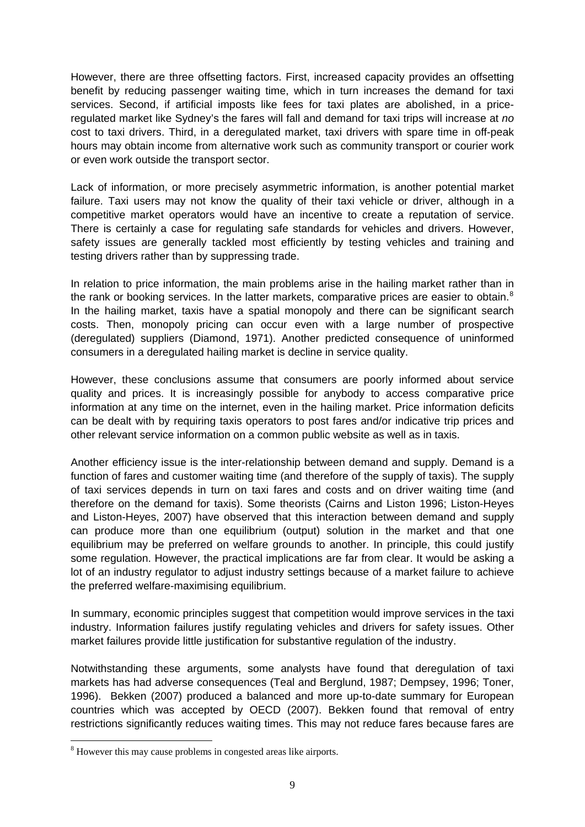However, there are three offsetting factors. First, increased capacity provides an offsetting benefit by reducing passenger waiting time, which in turn increases the demand for taxi services. Second, if artificial imposts like fees for taxi plates are abolished, in a priceregulated market like Sydney's the fares will fall and demand for taxi trips will increase at *no* cost to taxi drivers. Third, in a deregulated market, taxi drivers with spare time in off-peak hours may obtain income from alternative work such as community transport or courier work or even work outside the transport sector.

Lack of information, or more precisely asymmetric information, is another potential market failure. Taxi users may not know the quality of their taxi vehicle or driver, although in a competitive market operators would have an incentive to create a reputation of service. There is certainly a case for regulating safe standards for vehicles and drivers. However, safety issues are generally tackled most efficiently by testing vehicles and training and testing drivers rather than by suppressing trade.

In relation to price information, the main problems arise in the hailing market rather than in the rank or booking services. In the latter markets, comparative prices are easier to obtain.<sup>[8](#page-8-0)</sup> In the hailing market, taxis have a spatial monopoly and there can be significant search costs. Then, monopoly pricing can occur even with a large number of prospective (deregulated) suppliers (Diamond, 1971). Another predicted consequence of uninformed consumers in a deregulated hailing market is decline in service quality.

However, these conclusions assume that consumers are poorly informed about service quality and prices. It is increasingly possible for anybody to access comparative price information at any time on the internet, even in the hailing market. Price information deficits can be dealt with by requiring taxis operators to post fares and/or indicative trip prices and other relevant service information on a common public website as well as in taxis.

Another efficiency issue is the inter-relationship between demand and supply. Demand is a function of fares and customer waiting time (and therefore of the supply of taxis). The supply of taxi services depends in turn on taxi fares and costs and on driver waiting time (and therefore on the demand for taxis). Some theorists (Cairns and Liston 1996; Liston-Heyes and Liston-Heyes, 2007) have observed that this interaction between demand and supply can produce more than one equilibrium (output) solution in the market and that one equilibrium may be preferred on welfare grounds to another. In principle, this could justify some regulation. However, the practical implications are far from clear. It would be asking a lot of an industry regulator to adjust industry settings because of a market failure to achieve the preferred welfare-maximising equilibrium.

In summary, economic principles suggest that competition would improve services in the taxi industry. Information failures justify regulating vehicles and drivers for safety issues. Other market failures provide little justification for substantive regulation of the industry.

Notwithstanding these arguments, some analysts have found that deregulation of taxi markets has had adverse consequences (Teal and Berglund, 1987; Dempsey, 1996; Toner, 1996). Bekken (2007) produced a balanced and more up-to-date summary for European countries which was accepted by OECD (2007). Bekken found that removal of entry restrictions significantly reduces waiting times. This may not reduce fares because fares are

1

<span id="page-8-0"></span><sup>&</sup>lt;sup>8</sup> However this may cause problems in congested areas like airports.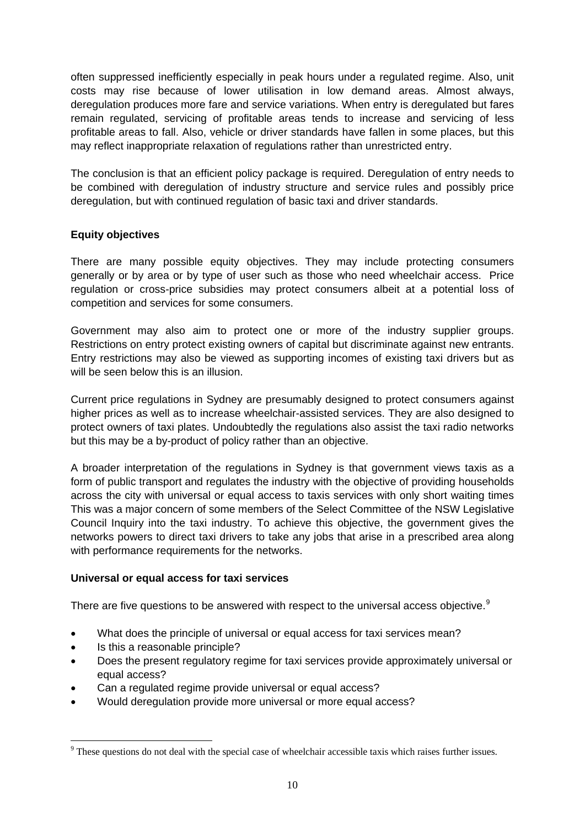often suppressed inefficiently especially in peak hours under a regulated regime. Also, unit costs may rise because of lower utilisation in low demand areas. Almost always, deregulation produces more fare and service variations. When entry is deregulated but fares remain regulated, servicing of profitable areas tends to increase and servicing of less profitable areas to fall. Also, vehicle or driver standards have fallen in some places, but this may reflect inappropriate relaxation of regulations rather than unrestricted entry.

The conclusion is that an efficient policy package is required. Deregulation of entry needs to be combined with deregulation of industry structure and service rules and possibly price deregulation, but with continued regulation of basic taxi and driver standards.

#### **Equity objectives**

There are many possible equity objectives. They may include protecting consumers generally or by area or by type of user such as those who need wheelchair access. Price regulation or cross-price subsidies may protect consumers albeit at a potential loss of competition and services for some consumers.

Government may also aim to protect one or more of the industry supplier groups. Restrictions on entry protect existing owners of capital but discriminate against new entrants. Entry restrictions may also be viewed as supporting incomes of existing taxi drivers but as will be seen below this is an illusion.

Current price regulations in Sydney are presumably designed to protect consumers against higher prices as well as to increase wheelchair-assisted services. They are also designed to protect owners of taxi plates. Undoubtedly the regulations also assist the taxi radio networks but this may be a by-product of policy rather than an objective.

A broader interpretation of the regulations in Sydney is that government views taxis as a form of public transport and regulates the industry with the objective of providing households across the city with universal or equal access to taxis services with only short waiting times This was a major concern of some members of the Select Committee of the NSW Legislative Council Inquiry into the taxi industry. To achieve this objective, the government gives the networks powers to direct taxi drivers to take any jobs that arise in a prescribed area along with performance requirements for the networks.

#### **Universal or equal access for taxi services**

There are five questions to be answered with respect to the universal access objective.<sup>[9](#page-9-0)</sup>

- What does the principle of universal or equal access for taxi services mean?
- Is this a reasonable principle?

1

- Does the present regulatory regime for taxi services provide approximately universal or equal access?
- Can a regulated regime provide universal or equal access?
- Would deregulation provide more universal or more equal access?

<span id="page-9-0"></span><sup>&</sup>lt;sup>9</sup> These questions do not deal with the special case of wheelchair accessible taxis which raises further issues.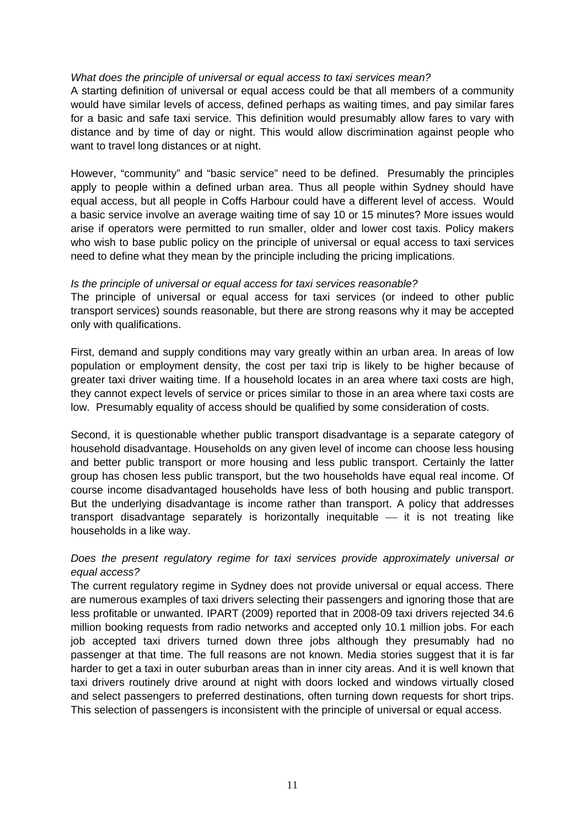#### *What does the principle of universal or equal access to taxi services mean?*

A starting definition of universal or equal access could be that all members of a community would have similar levels of access, defined perhaps as waiting times, and pay similar fares for a basic and safe taxi service. This definition would presumably allow fares to vary with distance and by time of day or night. This would allow discrimination against people who want to travel long distances or at night.

However, "community" and "basic service" need to be defined. Presumably the principles apply to people within a defined urban area. Thus all people within Sydney should have equal access, but all people in Coffs Harbour could have a different level of access. Would a basic service involve an average waiting time of say 10 or 15 minutes? More issues would arise if operators were permitted to run smaller, older and lower cost taxis. Policy makers who wish to base public policy on the principle of universal or equal access to taxi services need to define what they mean by the principle including the pricing implications.

#### *Is the principle of universal or equal access for taxi services reasonable?*

The principle of universal or equal access for taxi services (or indeed to other public transport services) sounds reasonable, but there are strong reasons why it may be accepted only with qualifications.

First, demand and supply conditions may vary greatly within an urban area. In areas of low population or employment density, the cost per taxi trip is likely to be higher because of greater taxi driver waiting time. If a household locates in an area where taxi costs are high, they cannot expect levels of service or prices similar to those in an area where taxi costs are low. Presumably equality of access should be qualified by some consideration of costs.

Second, it is questionable whether public transport disadvantage is a separate category of household disadvantage. Households on any given level of income can choose less housing and better public transport or more housing and less public transport. Certainly the latter group has chosen less public transport, but the two households have equal real income. Of course income disadvantaged households have less of both housing and public transport. But the underlying disadvantage is income rather than transport. A policy that addresses transport disadvantage separately is horizontally inequitable  $-$  it is not treating like households in a like way.

#### *Does the present regulatory regime for taxi services provide approximately universal or equal access?*

The current regulatory regime in Sydney does not provide universal or equal access. There are numerous examples of taxi drivers selecting their passengers and ignoring those that are less profitable or unwanted. IPART (2009) reported that in 2008-09 taxi drivers rejected 34.6 million booking requests from radio networks and accepted only 10.1 million jobs. For each job accepted taxi drivers turned down three jobs although they presumably had no passenger at that time. The full reasons are not known. Media stories suggest that it is far harder to get a taxi in outer suburban areas than in inner city areas. And it is well known that taxi drivers routinely drive around at night with doors locked and windows virtually closed and select passengers to preferred destinations, often turning down requests for short trips. This selection of passengers is inconsistent with the principle of universal or equal access.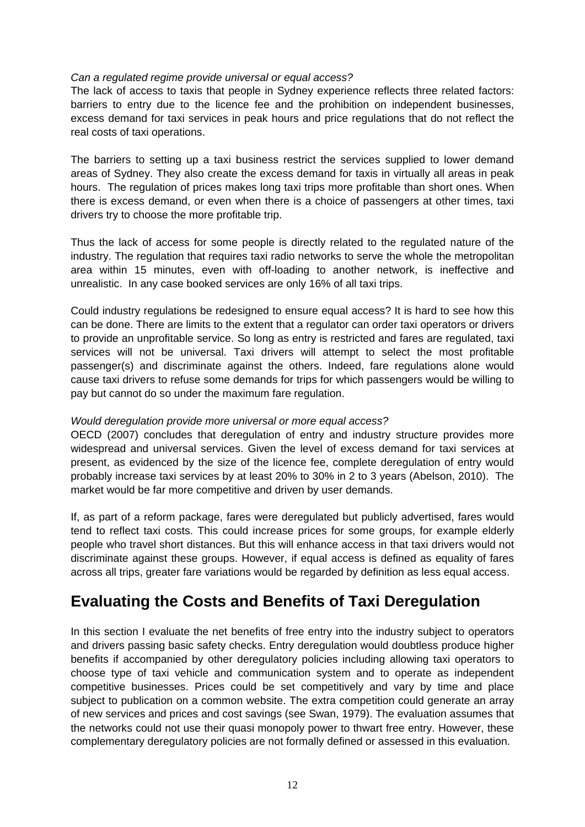#### *Can a regulated regime provide universal or equal access?*

The lack of access to taxis that people in Sydney experience reflects three related factors: barriers to entry due to the licence fee and the prohibition on independent businesses, excess demand for taxi services in peak hours and price regulations that do not reflect the real costs of taxi operations.

The barriers to setting up a taxi business restrict the services supplied to lower demand areas of Sydney. They also create the excess demand for taxis in virtually all areas in peak hours. The regulation of prices makes long taxi trips more profitable than short ones. When there is excess demand, or even when there is a choice of passengers at other times, taxi drivers try to choose the more profitable trip.

Thus the lack of access for some people is directly related to the regulated nature of the industry. The regulation that requires taxi radio networks to serve the whole the metropolitan area within 15 minutes, even with off-loading to another network, is ineffective and unrealistic. In any case booked services are only 16% of all taxi trips.

Could industry regulations be redesigned to ensure equal access? It is hard to see how this can be done. There are limits to the extent that a regulator can order taxi operators or drivers to provide an unprofitable service. So long as entry is restricted and fares are regulated, taxi services will not be universal. Taxi drivers will attempt to select the most profitable passenger(s) and discriminate against the others. Indeed, fare regulations alone would cause taxi drivers to refuse some demands for trips for which passengers would be willing to pay but cannot do so under the maximum fare regulation.

#### *Would deregulation provide more universal or more equal access?*

OECD (2007) concludes that deregulation of entry and industry structure provides more widespread and universal services. Given the level of excess demand for taxi services at present, as evidenced by the size of the licence fee, complete deregulation of entry would probably increase taxi services by at least 20% to 30% in 2 to 3 years (Abelson, 2010). The market would be far more competitive and driven by user demands.

If, as part of a reform package, fares were deregulated but publicly advertised, fares would tend to reflect taxi costs. This could increase prices for some groups, for example elderly people who travel short distances. But this will enhance access in that taxi drivers would not discriminate against these groups. However, if equal access is defined as equality of fares across all trips, greater fare variations would be regarded by definition as less equal access.

### **Evaluating the Costs and Benefits of Taxi Deregulation**

In this section I evaluate the net benefits of free entry into the industry subject to operators and drivers passing basic safety checks. Entry deregulation would doubtless produce higher benefits if accompanied by other deregulatory policies including allowing taxi operators to choose type of taxi vehicle and communication system and to operate as independent competitive businesses. Prices could be set competitively and vary by time and place subject to publication on a common website. The extra competition could generate an array of new services and prices and cost savings (see Swan, 1979). The evaluation assumes that the networks could not use their quasi monopoly power to thwart free entry. However, these complementary deregulatory policies are not formally defined or assessed in this evaluation.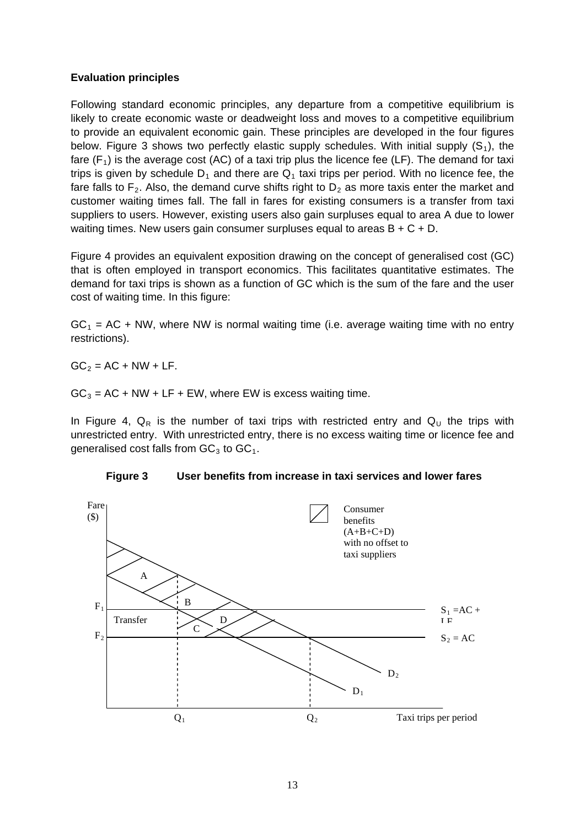#### **Evaluation principles**

Following standard economic principles, any departure from a competitive equilibrium is likely to create economic waste or deadweight loss and moves to a competitive equilibrium to provide an equivalent economic gain. These principles are developed in the four figures below. Figure 3 shows two perfectly elastic supply schedules. With initial supply  $(S_1)$ , the fare  $(F_1)$  is the average cost (AC) of a taxi trip plus the licence fee (LF). The demand for taxi trips is given by schedule  $D_1$  and there are  $Q_1$  taxi trips per period. With no licence fee, the fare falls to  $F_2$ . Also, the demand curve shifts right to  $D_2$  as more taxis enter the market and customer waiting times fall. The fall in fares for existing consumers is a transfer from taxi suppliers to users. However, existing users also gain surpluses equal to area A due to lower waiting times. New users gain consumer surpluses equal to areas  $B + C + D$ .

Figure 4 provides an equivalent exposition drawing on the concept of generalised cost (GC) that is often employed in transport economics. This facilitates quantitative estimates. The demand for taxi trips is shown as a function of GC which is the sum of the fare and the user cost of waiting time. In this figure:

 $GC<sub>1</sub> = AC + NW$ , where NW is normal waiting time (i.e. average waiting time with no entry restrictions).

 $GC<sub>2</sub> = AC + NW + LF$ .

 $GC<sub>3</sub> = AC + NW + LF + EW$ , where EW is excess waiting time.

In Figure 4,  $Q_R$  is the number of taxi trips with restricted entry and  $Q_U$  the trips with unrestricted entry. With unrestricted entry, there is no excess waiting time or licence fee and generalised cost falls from  $GC_3$  to  $GC_1$ .



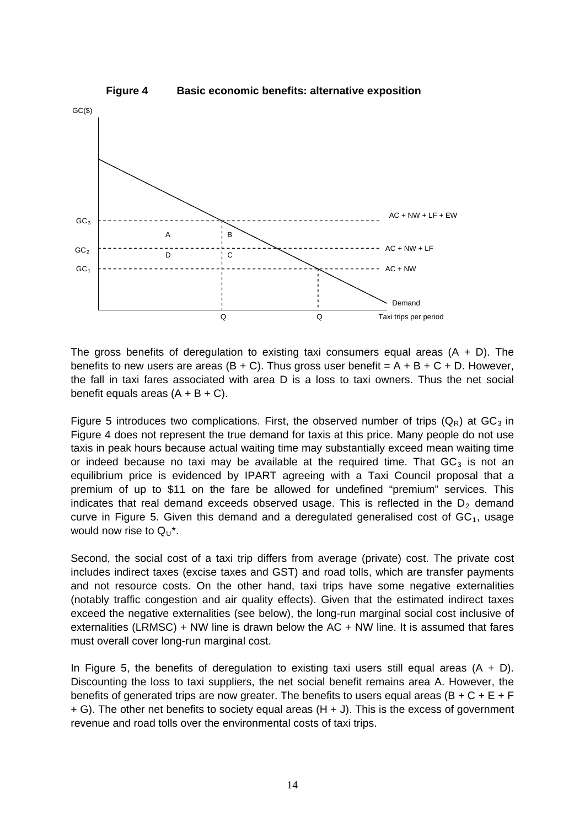

The gross benefits of deregulation to existing taxi consumers equal areas  $(A + D)$ . The benefits to new users are areas  $(B + C)$ . Thus gross user benefit = A + B + C + D. However, the fall in taxi fares associated with area D is a loss to taxi owners. Thus the net social benefit equals areas  $(A + B + C)$ .

Figure 5 introduces two complications. First, the observed number of trips  $(Q_R)$  at  $GC_3$  in Figure 4 does not represent the true demand for taxis at this price. Many people do not use taxis in peak hours because actual waiting time may substantially exceed mean waiting time or indeed because no taxi may be available at the required time. That  $GC<sub>3</sub>$  is not an equilibrium price is evidenced by IPART agreeing with a Taxi Council proposal that a premium of up to \$11 on the fare be allowed for undefined "premium" services. This indicates that real demand exceeds observed usage. This is reflected in the  $D<sub>2</sub>$  demand curve in Figure 5. Given this demand and a deregulated generalised cost of  $GC<sub>1</sub>$ , usage would now rise to  $Q_U^*$ .

Second, the social cost of a taxi trip differs from average (private) cost. The private cost includes indirect taxes (excise taxes and GST) and road tolls, which are transfer payments and not resource costs. On the other hand, taxi trips have some negative externalities (notably traffic congestion and air quality effects). Given that the estimated indirect taxes exceed the negative externalities (see below), the long-run marginal social cost inclusive of externalities (LRMSC) + NW line is drawn below the AC + NW line. It is assumed that fares must overall cover long-run marginal cost.

In Figure 5, the benefits of deregulation to existing taxi users still equal areas  $(A + D)$ . Discounting the loss to taxi suppliers, the net social benefit remains area A. However, the benefits of generated trips are now greater. The benefits to users equal areas ( $B + C + E + F$ + G). The other net benefits to society equal areas (H + J). This is the excess of government revenue and road tolls over the environmental costs of taxi trips.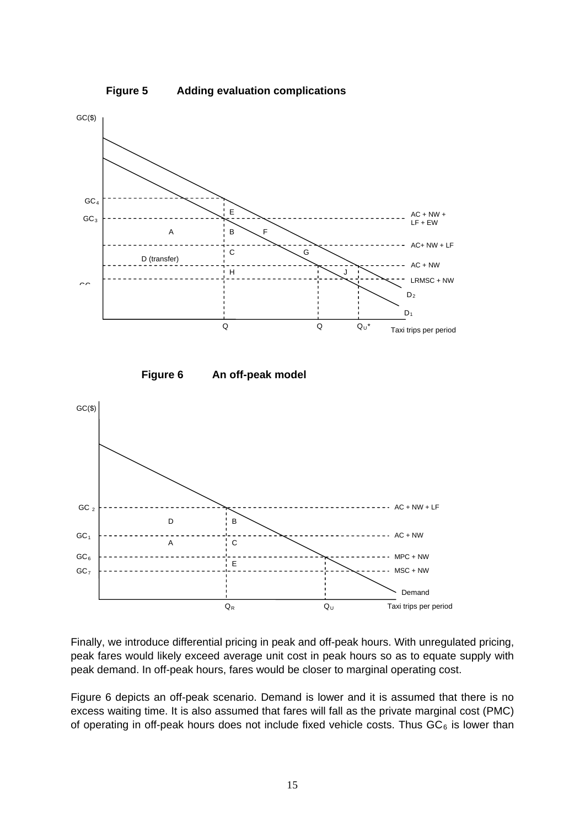

Finally, we introduce differential pricing in peak and off-peak hours. With unregulated pricing, peak fares would likely exceed average unit cost in peak hours so as to equate supply with peak demand. In off-peak hours, fares would be closer to marginal operating cost.

Figure 6 depicts an off-peak scenario. Demand is lower and it is assumed that there is no excess waiting time. It is also assumed that fares will fall as the private marginal cost (PMC) of operating in off-peak hours does not include fixed vehicle costs. Thus  $GC_6$  is lower than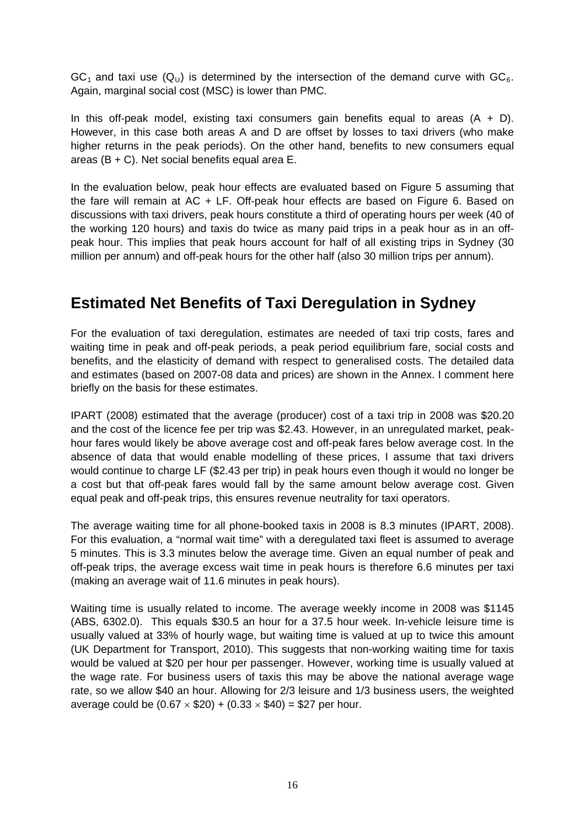$GC<sub>1</sub>$  and taxi use  $(Q<sub>U</sub>)$  is determined by the intersection of the demand curve with  $GC<sub>6</sub>$ . Again, marginal social cost (MSC) is lower than PMC.

In this off-peak model, existing taxi consumers gain benefits equal to areas  $(A + D)$ . However, in this case both areas A and D are offset by losses to taxi drivers (who make higher returns in the peak periods). On the other hand, benefits to new consumers equal areas (B + C). Net social benefits equal area E.

In the evaluation below, peak hour effects are evaluated based on Figure 5 assuming that the fare will remain at AC + LF. Off-peak hour effects are based on Figure 6. Based on discussions with taxi drivers, peak hours constitute a third of operating hours per week (40 of the working 120 hours) and taxis do twice as many paid trips in a peak hour as in an offpeak hour. This implies that peak hours account for half of all existing trips in Sydney (30 million per annum) and off-peak hours for the other half (also 30 million trips per annum).

### **Estimated Net Benefits of Taxi Deregulation in Sydney**

For the evaluation of taxi deregulation, estimates are needed of taxi trip costs, fares and waiting time in peak and off-peak periods, a peak period equilibrium fare, social costs and benefits, and the elasticity of demand with respect to generalised costs. The detailed data and estimates (based on 2007-08 data and prices) are shown in the Annex. I comment here briefly on the basis for these estimates.

IPART (2008) estimated that the average (producer) cost of a taxi trip in 2008 was \$20.20 and the cost of the licence fee per trip was \$2.43. However, in an unregulated market, peakhour fares would likely be above average cost and off-peak fares below average cost. In the absence of data that would enable modelling of these prices, I assume that taxi drivers would continue to charge LF (\$2.43 per trip) in peak hours even though it would no longer be a cost but that off-peak fares would fall by the same amount below average cost. Given equal peak and off-peak trips, this ensures revenue neutrality for taxi operators.

The average waiting time for all phone-booked taxis in 2008 is 8.3 minutes (IPART, 2008). For this evaluation, a "normal wait time" with a deregulated taxi fleet is assumed to average 5 minutes. This is 3.3 minutes below the average time. Given an equal number of peak and off-peak trips, the average excess wait time in peak hours is therefore 6.6 minutes per taxi (making an average wait of 11.6 minutes in peak hours).

Waiting time is usually related to income. The average weekly income in 2008 was \$1145 (ABS, 6302.0). This equals \$30.5 an hour for a 37.5 hour week. In-vehicle leisure time is usually valued at 33% of hourly wage, but waiting time is valued at up to twice this amount (UK Department for Transport, 2010). This suggests that non-working waiting time for taxis would be valued at \$20 per hour per passenger. However, working time is usually valued at the wage rate. For business users of taxis this may be above the national average wage rate, so we allow \$40 an hour. Allowing for 2/3 leisure and 1/3 business users, the weighted average could be  $(0.67 \times $20) + (0.33 \times $40) = $27$  per hour.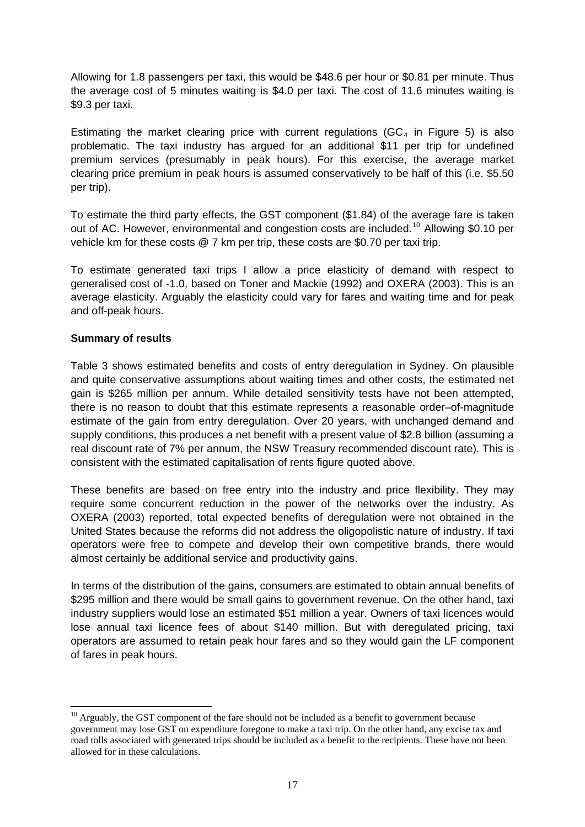Allowing for 1.8 passengers per taxi, this would be \$48.6 per hour or \$0.81 per minute. Thus the average cost of 5 minutes waiting is \$4.0 per taxi. The cost of 11.6 minutes waiting is \$9.3 per taxi.

Estimating the market clearing price with current regulations ( $GC<sub>4</sub>$  in Figure 5) is also problematic. The taxi industry has argued for an additional \$11 per trip for undefined premium services (presumably in peak hours). For this exercise, the average market clearing price premium in peak hours is assumed conservatively to be half of this (i.e. \$5.50 per trip).

To estimate the third party effects, the GST component (\$1.84) of the average fare is taken out of AC. However, environmental and congestion costs are included.<sup>[10](#page-16-0)</sup> Allowing \$0.10 per vehicle km for these costs @ 7 km per trip, these costs are \$0.70 per taxi trip.

To estimate generated taxi trips I allow a price elasticity of demand with respect to generalised cost of -1.0, based on Toner and Mackie (1992) and OXERA (2003). This is an average elasticity. Arguably the elasticity could vary for fares and waiting time and for peak and off-peak hours.

#### **Summary of results**

1

Table 3 shows estimated benefits and costs of entry deregulation in Sydney. On plausible and quite conservative assumptions about waiting times and other costs, the estimated net gain is \$265 million per annum. While detailed sensitivity tests have not been attempted, there is no reason to doubt that this estimate represents a reasonable order–of-magnitude estimate of the gain from entry deregulation. Over 20 years, with unchanged demand and supply conditions, this produces a net benefit with a present value of \$2.8 billion (assuming a real discount rate of 7% per annum, the NSW Treasury recommended discount rate). This is consistent with the estimated capitalisation of rents figure quoted above.

These benefits are based on free entry into the industry and price flexibility. They may require some concurrent reduction in the power of the networks over the industry. As OXERA (2003) reported, total expected benefits of deregulation were not obtained in the United States because the reforms did not address the oligopolistic nature of industry. If taxi operators were free to compete and develop their own competitive brands, there would almost certainly be additional service and productivity gains.

In terms of the distribution of the gains, consumers are estimated to obtain annual benefits of \$295 million and there would be small gains to government revenue. On the other hand, taxi industry suppliers would lose an estimated \$51 million a year. Owners of taxi licences would lose annual taxi licence fees of about \$140 million. But with deregulated pricing, taxi operators are assumed to retain peak hour fares and so they would gain the LF component of fares in peak hours.

<span id="page-16-0"></span> $10$  Arguably, the GST component of the fare should not be included as a benefit to government because government may lose GST on expenditure foregone to make a taxi trip. On the other hand, any excise tax and road tolls associated with generated trips should be included as a benefit to the recipients. These have not been allowed for in these calculations.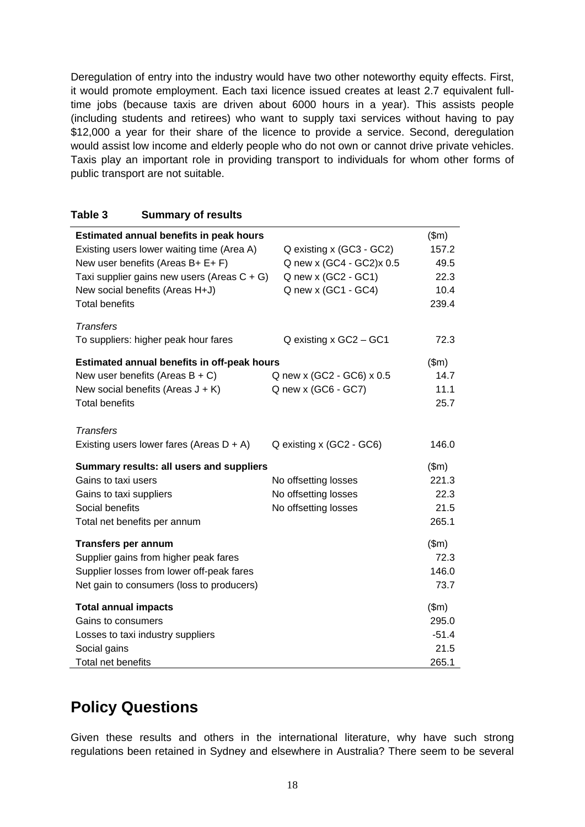Deregulation of entry into the industry would have two other noteworthy equity effects. First, it would promote employment. Each taxi licence issued creates at least 2.7 equivalent fulltime jobs (because taxis are driven about 6000 hours in a year). This assists people (including students and retirees) who want to supply taxi services without having to pay \$12,000 a year for their share of the licence to provide a service. Second, deregulation would assist low income and elderly people who do not own or cannot drive private vehicles. Taxis play an important role in providing transport to individuals for whom other forms of public transport are not suitable.

#### **Table 3 Summary of results**

| Estimated annual benefits in peak hours        |                           | \$m\$   |  |
|------------------------------------------------|---------------------------|---------|--|
| Existing users lower waiting time (Area A)     | Q existing x (GC3 - GC2)  | 157.2   |  |
| New user benefits (Areas B+ E+ F)              | Q new x (GC4 - GC2)x 0.5  | 49.5    |  |
| Taxi supplier gains new users (Areas $C + G$ ) | Q new x (GC2 - GC1)       | 22.3    |  |
| New social benefits (Areas H+J)                | Q new x (GC1 - GC4)       | 10.4    |  |
| <b>Total benefits</b>                          |                           | 239.4   |  |
| <b>Transfers</b>                               |                           |         |  |
| To suppliers: higher peak hour fares           | Q existing x GC2 - GC1    | 72.3    |  |
| Estimated annual benefits in off-peak hours    |                           |         |  |
| New user benefits (Areas $B + C$ )             | Q new x (GC2 - GC6) x 0.5 | 14.7    |  |
| New social benefits (Areas $J + K$ )           | Q new x (GC6 - GC7)       | 11.1    |  |
| <b>Total benefits</b>                          |                           | 25.7    |  |
| <b>Transfers</b>                               |                           |         |  |
| Existing users lower fares (Areas $D + A$ )    | Q existing x (GC2 - GC6)  | 146.0   |  |
| Summary results: all users and suppliers       |                           |         |  |
| Gains to taxi users                            | No offsetting losses      | 221.3   |  |
| Gains to taxi suppliers                        | No offsetting losses      | 22.3    |  |
| Social benefits                                | No offsetting losses      | 21.5    |  |
| Total net benefits per annum                   |                           | 265.1   |  |
| <b>Transfers per annum</b>                     |                           | \$m\$   |  |
| Supplier gains from higher peak fares          |                           | 72.3    |  |
| Supplier losses from lower off-peak fares      |                           | 146.0   |  |
| Net gain to consumers (loss to producers)      |                           | 73.7    |  |
| <b>Total annual impacts</b>                    |                           | \$m\$   |  |
| Gains to consumers                             |                           | 295.0   |  |
| Losses to taxi industry suppliers              |                           | $-51.4$ |  |
| Social gains                                   |                           | 21.5    |  |
| Total net benefits                             |                           | 265.1   |  |

### **Policy Questions**

Given these results and others in the international literature, why have such strong regulations been retained in Sydney and elsewhere in Australia? There seem to be several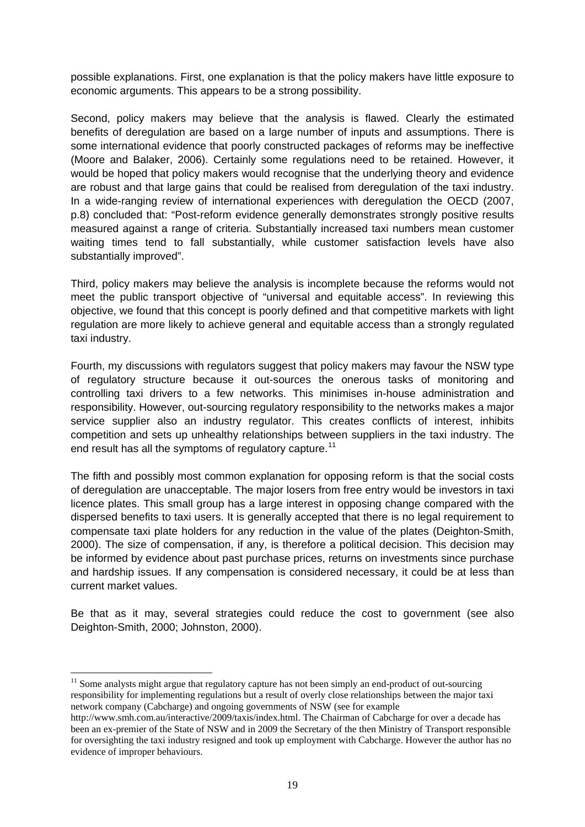possible explanations. First, one explanation is that the policy makers have little exposure to economic arguments. This appears to be a strong possibility.

Second, policy makers may believe that the analysis is flawed. Clearly the estimated benefits of deregulation are based on a large number of inputs and assumptions. There is some international evidence that poorly constructed packages of reforms may be ineffective (Moore and Balaker, 2006). Certainly some regulations need to be retained. However, it would be hoped that policy makers would recognise that the underlying theory and evidence are robust and that large gains that could be realised from deregulation of the taxi industry. In a wide-ranging review of international experiences with deregulation the OECD (2007, p.8) concluded that: "Post-reform evidence generally demonstrates strongly positive results measured against a range of criteria. Substantially increased taxi numbers mean customer waiting times tend to fall substantially, while customer satisfaction levels have also substantially improved".

Third, policy makers may believe the analysis is incomplete because the reforms would not meet the public transport objective of "universal and equitable access". In reviewing this objective, we found that this concept is poorly defined and that competitive markets with light regulation are more likely to achieve general and equitable access than a strongly regulated taxi industry.

Fourth, my discussions with regulators suggest that policy makers may favour the NSW type of regulatory structure because it out-sources the onerous tasks of monitoring and controlling taxi drivers to a few networks. This minimises in-house administration and responsibility. However, out-sourcing regulatory responsibility to the networks makes a major service supplier also an industry regulator. This creates conflicts of interest, inhibits competition and sets up unhealthy relationships between suppliers in the taxi industry. The end result has all the symptoms of regulatory capture.<sup>[11](#page-18-0)</sup>

The fifth and possibly most common explanation for opposing reform is that the social costs of deregulation are unacceptable. The major losers from free entry would be investors in taxi licence plates. This small group has a large interest in opposing change compared with the dispersed benefits to taxi users. It is generally accepted that there is no legal requirement to compensate taxi plate holders for any reduction in the value of the plates (Deighton-Smith, 2000). The size of compensation, if any, is therefore a political decision. This decision may be informed by evidence about past purchase prices, returns on investments since purchase and hardship issues. If any compensation is considered necessary, it could be at less than current market values.

Be that as it may, several strategies could reduce the cost to government (see also Deighton-Smith, 2000; Johnston, 2000).

1

<span id="page-18-0"></span> $11$  Some analysts might argue that regulatory capture has not been simply an end-product of out-sourcing responsibility for implementing regulations but a result of overly close relationships between the major taxi network company (Cabcharge) and ongoing governments of NSW (see for example

http://www.smh.com.au/interactive/2009/taxis/index.html. The Chairman of Cabcharge for over a decade has been an ex-premier of the State of NSW and in 2009 the Secretary of the then Ministry of Transport responsible for oversighting the taxi industry resigned and took up employment with Cabcharge. However the author has no evidence of improper behaviours.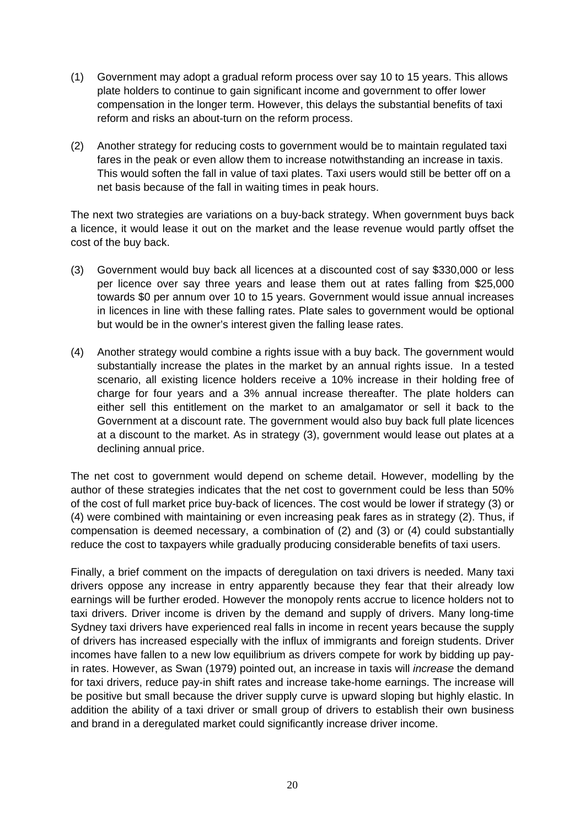- (1) Government may adopt a gradual reform process over say 10 to 15 years. This allows plate holders to continue to gain significant income and government to offer lower compensation in the longer term. However, this delays the substantial benefits of taxi reform and risks an about-turn on the reform process.
- (2) Another strategy for reducing costs to government would be to maintain regulated taxi fares in the peak or even allow them to increase notwithstanding an increase in taxis. This would soften the fall in value of taxi plates. Taxi users would still be better off on a net basis because of the fall in waiting times in peak hours.

The next two strategies are variations on a buy-back strategy. When government buys back a licence, it would lease it out on the market and the lease revenue would partly offset the cost of the buy back.

- (3) Government would buy back all licences at a discounted cost of say \$330,000 or less per licence over say three years and lease them out at rates falling from \$25,000 towards \$0 per annum over 10 to 15 years. Government would issue annual increases in licences in line with these falling rates. Plate sales to government would be optional but would be in the owner's interest given the falling lease rates.
- (4) Another strategy would combine a rights issue with a buy back. The government would substantially increase the plates in the market by an annual rights issue. In a tested scenario, all existing licence holders receive a 10% increase in their holding free of charge for four years and a 3% annual increase thereafter. The plate holders can either sell this entitlement on the market to an amalgamator or sell it back to the Government at a discount rate. The government would also buy back full plate licences at a discount to the market. As in strategy (3), government would lease out plates at a declining annual price.

The net cost to government would depend on scheme detail. However, modelling by the author of these strategies indicates that the net cost to government could be less than 50% of the cost of full market price buy-back of licences. The cost would be lower if strategy (3) or (4) were combined with maintaining or even increasing peak fares as in strategy (2). Thus, if compensation is deemed necessary, a combination of (2) and (3) or (4) could substantially reduce the cost to taxpayers while gradually producing considerable benefits of taxi users.

Finally, a brief comment on the impacts of deregulation on taxi drivers is needed. Many taxi drivers oppose any increase in entry apparently because they fear that their already low earnings will be further eroded. However the monopoly rents accrue to licence holders not to taxi drivers. Driver income is driven by the demand and supply of drivers. Many long-time Sydney taxi drivers have experienced real falls in income in recent years because the supply of drivers has increased especially with the influx of immigrants and foreign students. Driver incomes have fallen to a new low equilibrium as drivers compete for work by bidding up payin rates. However, as Swan (1979) pointed out, an increase in taxis will *increase* the demand for taxi drivers, reduce pay-in shift rates and increase take-home earnings. The increase will be positive but small because the driver supply curve is upward sloping but highly elastic. In addition the ability of a taxi driver or small group of drivers to establish their own business and brand in a deregulated market could significantly increase driver income.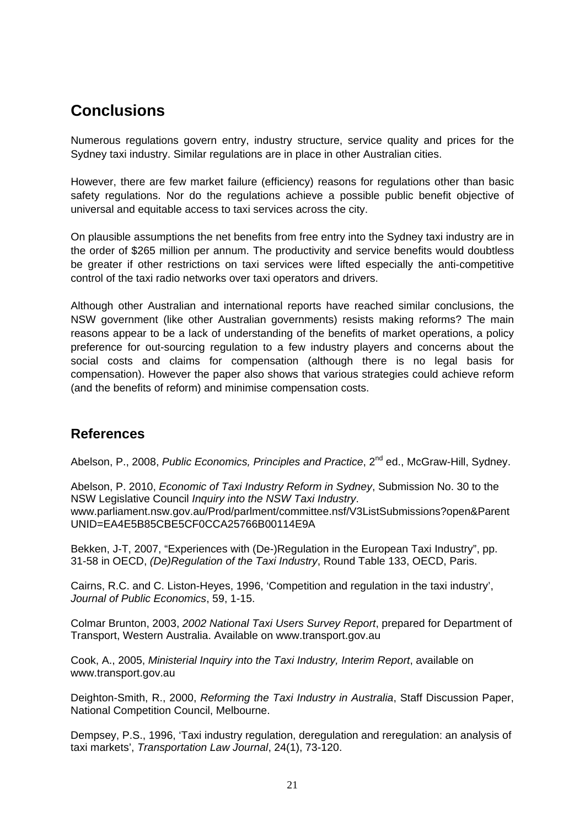## **Conclusions**

Numerous regulations govern entry, industry structure, service quality and prices for the Sydney taxi industry. Similar regulations are in place in other Australian cities.

However, there are few market failure (efficiency) reasons for regulations other than basic safety regulations. Nor do the regulations achieve a possible public benefit objective of universal and equitable access to taxi services across the city.

On plausible assumptions the net benefits from free entry into the Sydney taxi industry are in the order of \$265 million per annum. The productivity and service benefits would doubtless be greater if other restrictions on taxi services were lifted especially the anti-competitive control of the taxi radio networks over taxi operators and drivers.

Although other Australian and international reports have reached similar conclusions, the NSW government (like other Australian governments) resists making reforms? The main reasons appear to be a lack of understanding of the benefits of market operations, a policy preference for out-sourcing regulation to a few industry players and concerns about the social costs and claims for compensation (although there is no legal basis for compensation). However the paper also shows that various strategies could achieve reform (and the benefits of reform) and minimise compensation costs.

### **References**

Abelson, P., 2008, *Public Economics, Principles and Practice*, 2<sup>nd</sup> ed., McGraw-Hill, Sydney.

Abelson, P. 2010, *Economic of Taxi Industry Reform in Sydney*, Submission No. 30 to the NSW Legislative Council *Inquiry into the NSW Taxi Industry*. www.parliament.nsw.gov.au/Prod/parlment/committee.nsf/V3ListSubmissions?open&Parent UNID=EA4E5B85CBE5CF0CCA25766B00114E9A

Bekken, J-T, 2007, "Experiences with (De-)Regulation in the European Taxi Industry", pp. 31-58 in OECD, *(De)Regulation of the Taxi Industry*, Round Table 133, OECD, Paris.

Cairns, R.C. and C. Liston-Heyes, 1996, 'Competition and regulation in the taxi industry', *Journal of Public Economics*, 59, 1-15.

Colmar Brunton, 2003, *2002 National Taxi Users Survey Report*, prepared for Department of Transport, Western Australia. Available on www.transport.gov.au

Cook, A., 2005, *Ministerial Inquiry into the Taxi Industry, Interim Report*, available on www.transport.gov.au

Deighton-Smith, R., 2000, *Reforming the Taxi Industry in Australia*, Staff Discussion Paper, National Competition Council, Melbourne.

Dempsey, P.S., 1996, 'Taxi industry regulation, deregulation and reregulation: an analysis of taxi markets', *Transportation Law Journal*, 24(1), 73-120.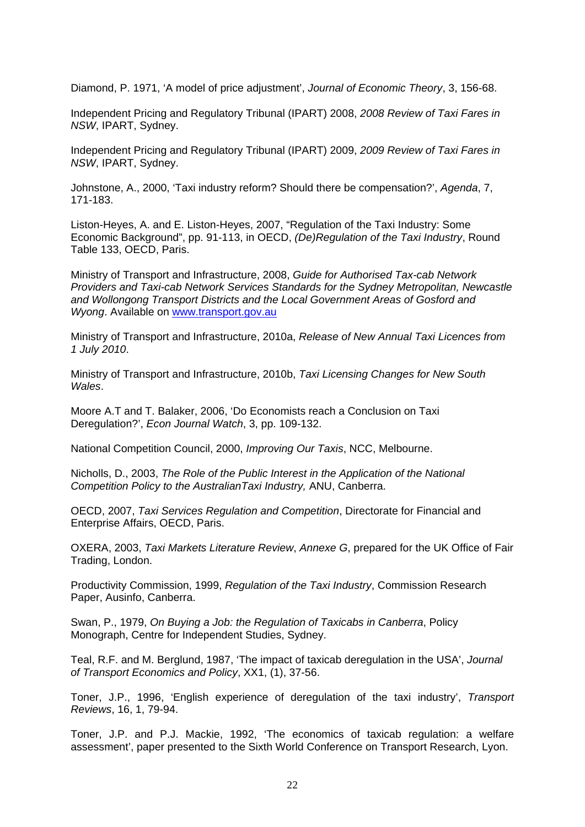Diamond, P. 1971, 'A model of price adjustment', *Journal of Economic Theory*, 3, 156-68.

Independent Pricing and Regulatory Tribunal (IPART) 2008, *2008 Review of Taxi Fares in NSW*, IPART, Sydney.

Independent Pricing and Regulatory Tribunal (IPART) 2009, *2009 Review of Taxi Fares in NSW*, IPART, Sydney.

Johnstone, A., 2000, 'Taxi industry reform? Should there be compensation?', *Agenda*, 7, 171-183.

Liston-Heyes, A. and E. Liston-Heyes, 2007, "Regulation of the Taxi Industry: Some Economic Background", pp. 91-113, in OECD, *(De)Regulation of the Taxi Industry*, Round Table 133, OECD, Paris.

Ministry of Transport and Infrastructure, 2008, *Guide for Authorised Tax-cab Network Providers and Taxi-cab Network Services Standards for the Sydney Metropolitan, Newcastle and Wollongong Transport Districts and the Local Government Areas of Gosford and Wyong*. Available on [www.transport.gov.au](http://www.transport.gov.au/)

Ministry of Transport and Infrastructure, 2010a, *Release of New Annual Taxi Licences from 1 July 2010*.

Ministry of Transport and Infrastructure, 2010b, *Taxi Licensing Changes for New South Wales*.

Moore A.T and T. Balaker, 2006, 'Do Economists reach a Conclusion on Taxi Deregulation?', *Econ Journal Watch*, 3, pp. 109-132.

National Competition Council, 2000, *Improving Our Taxis*, NCC, Melbourne.

Nicholls, D., 2003, *The Role of the Public Interest in the Application of the National Competition Policy to the AustralianTaxi Industry,* ANU, Canberra.

OECD, 2007, *Taxi Services Regulation and Competition*, Directorate for Financial and Enterprise Affairs, OECD, Paris.

OXERA, 2003, *Taxi Markets Literature Review*, *Annexe G*, prepared for the UK Office of Fair Trading, London.

Productivity Commission, 1999, *Regulation of the Taxi Industry*, Commission Research Paper, Ausinfo, Canberra.

Swan, P., 1979, *On Buying a Job: the Regulation of Taxicabs in Canberra*, Policy Monograph, Centre for Independent Studies, Sydney.

Teal, R.F. and M. Berglund, 1987, 'The impact of taxicab deregulation in the USA', *Journal of Transport Economics and Policy*, XX1, (1), 37-56.

Toner, J.P., 1996, 'English experience of deregulation of the taxi industry', *Transport Reviews*, 16, 1, 79-94.

Toner, J.P. and P.J. Mackie, 1992, 'The economics of taxicab regulation: a welfare assessment', paper presented to the Sixth World Conference on Transport Research, Lyon.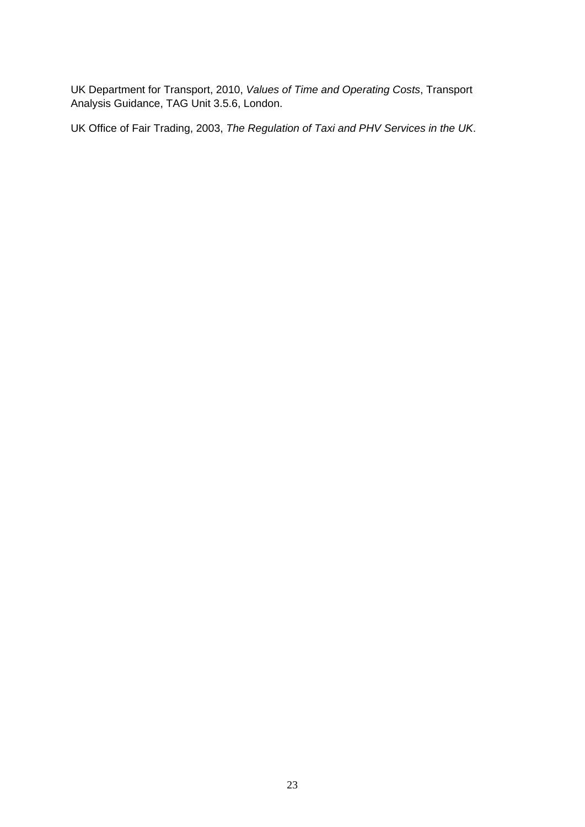UK Department for Transport, 2010, *Values of Time and Operating Costs*, Transport Analysis Guidance, TAG Unit 3.5.6, London.

UK Office of Fair Trading, 2003, *The Regulation of Taxi and PHV Services in the UK*.